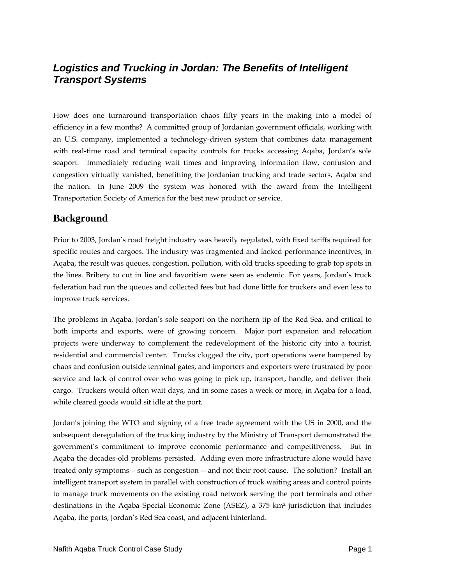## *Logistics and Trucking in Jordan: The Benefits of Intelligent Transport Systems*

How does one turnaround transportation chaos fifty years in the making into a model of efficiency in a few months? A committed group of Jordanian government officials, working with an U.S. company, implemented a technology-driven system that combines data management with real-time road and terminal capacity controls for trucks accessing Aqaba, Jordan's sole seaport. Immediately reducing wait times and improving information flow, confusion and congestion virtually vanished, benefitting the Jordanian trucking and trade sectors, Aqaba and the nation. In June 2009 the system was honored with the award from the Intelligent Transportation Society of America for the best new product or service.

## **Background**

Prior to 2003, Jordan's road freight industry was heavily regulated, with fixed tariffs required for specific routes and cargoes. The industry was fragmented and lacked performance incentives; in Aqaba, the result was queues, congestion, pollution, with old trucks speeding to grab top spots in the lines. Bribery to cut in line and favoritism were seen as endemic. For years, Jordan's truck federation had run the queues and collected fees but had done little for truckers and even less to improve truck services.

The problems in Aqaba, Jordan's sole seaport on the northern tip of the Red Sea, and critical to both imports and exports, were of growing concern. Major port expansion and relocation projects were underway to complement the redevelopment of the historic city into a tourist, residential and commercial center. Trucks clogged the city, port operations were hampered by chaos and confusion outside terminal gates, and importers and exporters were frustrated by poor service and lack of control over who was going to pick up, transport, handle, and deliver their cargo. Truckers would often wait days, and in some cases a week or more, in Aqaba for a load, while cleared goods would sit idle at the port.

Jordan's joining the WTO and signing of a free trade agreement with the US in 2000, and the subsequent deregulation of the trucking industry by the Ministry of Transport demonstrated the government's commitment to improve economic performance and competitiveness. But in Aqaba the decades-old problems persisted. Adding even more infrastructure alone would have treated only symptoms – such as congestion -- and not their root cause. The solution? Install an intelligent transport system in parallel with construction of truck waiting areas and control points to manage truck movements on the existing road network serving the port terminals and other destinations in the Aqaba Special Economic Zone (ASEZ), a 375 km² jurisdiction that includes Aqaba, the ports, Jordan's Red Sea coast, and adjacent hinterland.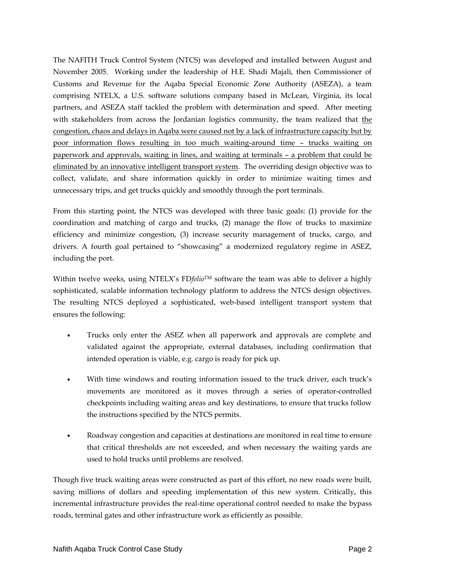The NAFITH Truck Control System (NTCS) was developed and installed between August and November 2005. Working under the leadership of H.E. Shadi Majali, then Commissioner of Customs and Revenue for the Aqaba Special Economic Zone Authority (ASEZA), a team comprising NTELX, a U.S. software solutions company based in McLean, Virginia, its local partners, and ASEZA staff tackled the problem with determination and speed. After meeting with stakeholders from across the Jordanian logistics community, the team realized that the congestion, chaos and delays in Aqaba were caused not by a lack of infrastructure capacity but by poor information flows resulting in too much waiting-around time – trucks waiting on paperwork and approvals, waiting in lines, and waiting at terminals – a problem that could be eliminated by an innovative intelligent transport system. The overriding design objective was to collect, validate, and share information quickly in order to minimize waiting times and unnecessary trips, and get trucks quickly and smoothly through the port terminals.

From this starting point, the NTCS was developed with three basic goals: (1) provide for the coordination and matching of cargo and trucks, (2) manage the flow of trucks to maximize efficiency and minimize congestion, (3) increase security management of trucks, cargo, and drivers. A fourth goal pertained to "showcasing" a modernized regulatory regime in ASEZ, including the port.

Within twelve weeks, using NTELX's FD*folio*TM software the team was able to deliver a highly sophisticated, scalable information technology platform to address the NTCS design objectives. The resulting NTCS deployed a sophisticated, web-based intelligent transport system that ensures the following:

- Trucks only enter the ASEZ when all paperwork and approvals are complete and validated against the appropriate, external databases, including confirmation that intended operation is viable, e.g. cargo is ready for pick up.
- With time windows and routing information issued to the truck driver, each truck's movements are monitored as it moves through a series of operator-controlled checkpoints including waiting areas and key destinations, to ensure that trucks follow the instructions specified by the NTCS permits.
- Roadway congestion and capacities at destinations are monitored in real time to ensure that critical thresholds are not exceeded, and when necessary the waiting yards are used to hold trucks until problems are resolved.

Though five truck waiting areas were constructed as part of this effort, no new roads were built, saving millions of dollars and speeding implementation of this new system. Critically, this incremental infrastructure provides the real-time operational control needed to make the bypass roads, terminal gates and other infrastructure work as efficiently as possible.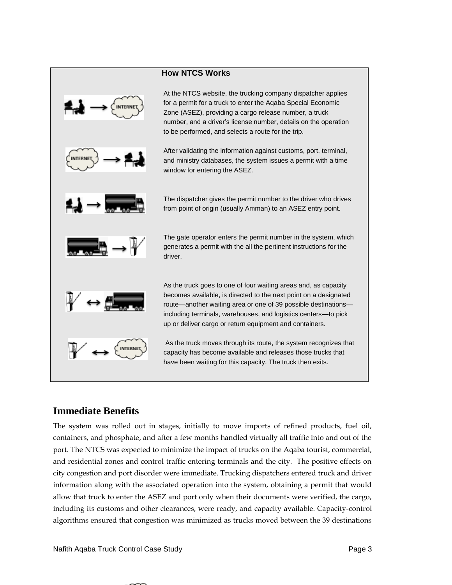

## **Immediate Benefits**

The system was rolled out in stages, initially to move imports of refined products, fuel oil, containers, and phosphate, and after a few months handled virtually all traffic into and out of the port. The NTCS was expected to minimize the impact of trucks on the Aqaba tourist, commercial, and residential zones and control traffic entering terminals and the city. The positive effects on city congestion and port disorder were immediate. Trucking dispatchers entered truck and driver information along with the associated operation into the system, obtaining a permit that would allow that truck to enter the ASEZ and port only when their documents were verified, the cargo, including its customs and other clearances, were ready, and capacity available. Capacity-control algorithms ensured that congestion was minimized as trucks moved between the 39 destinations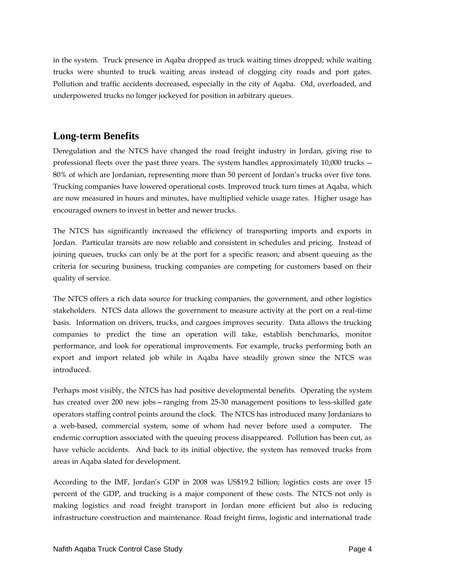in the system. Truck presence in Aqaba dropped as truck waiting times dropped; while waiting trucks were shunted to truck waiting areas instead of clogging city roads and port gates. Pollution and traffic accidents decreased, especially in the city of Aqaba. Old, overloaded, and underpowered trucks no longer jockeyed for position in arbitrary queues.

## **Long-term Benefits**

Deregulation and the NTCS have changed the road freight industry in Jordan, giving rise to professional fleets over the past three years. The system handles approximately 10,000 trucks -- 80% of which are Jordanian, representing more than 50 percent of Jordan's trucks over five tons. Trucking companies have lowered operational costs. Improved truck turn times at Aqaba, which are now measured in hours and minutes, have multiplied vehicle usage rates. Higher usage has encouraged owners to invest in better and newer trucks.

The NTCS has significantly increased the efficiency of transporting imports and exports in Jordan. Particular transits are now reliable and consistent in schedules and pricing. Instead of joining queues, trucks can only be at the port for a specific reason; and absent queuing as the criteria for securing business, trucking companies are competing for customers based on their quality of service.

The NTCS offers a rich data source for trucking companies, the government, and other logistics stakeholders. NTCS data allows the government to measure activity at the port on a real-time basis. Information on drivers, trucks, and cargoes improves security. Data allows the trucking companies to predict the time an operation will take, establish benchmarks, monitor performance, and look for operational improvements. For example, trucks performing both an export and import related job while in Aqaba have steadily grown since the NTCS was introduced.

Perhaps most visibly, the NTCS has had positive developmental benefits. Operating the system has created over 200 new jobs—ranging from 25-30 management positions to less-skilled gate operators staffing control points around the clock. The NTCS has introduced many Jordanians to a web-based, commercial system, some of whom had never before used a computer. The endemic corruption associated with the queuing process disappeared. Pollution has been cut, as have vehicle accidents. And back to its initial objective, the system has removed trucks from areas in Aqaba slated for development.

According to the IMF, Jordan's GDP in 2008 was US\$19.2 billion; logistics costs are over 15 percent of the GDP, and trucking is a major component of these costs. The NTCS not only is making logistics and road freight transport in Jordan more efficient but also is reducing infrastructure construction and maintenance. Road freight firms, logistic and international trade